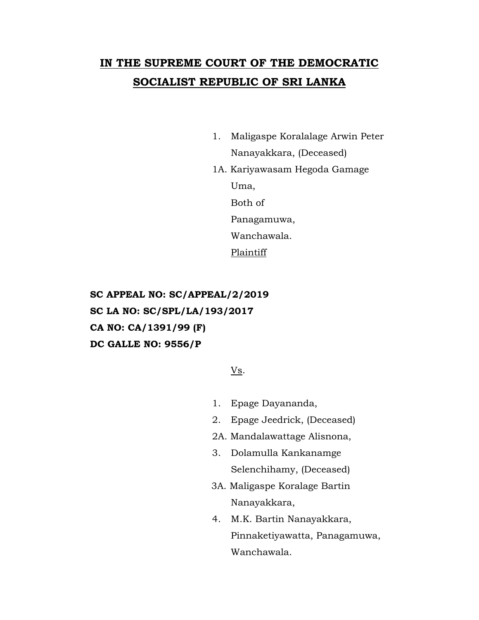## **IN THE SUPREME COURT OF THE DEMOCRATIC SOCIALIST REPUBLIC OF SRI LANKA**

- 1. Maligaspe Koralalage Arwin Peter Nanayakkara, (Deceased)
- 1A. Kariyawasam Hegoda Gamage Uma, Both of

Panagamuwa,

Wanchawala.

Plaintiff

**SC APPEAL NO: SC/APPEAL/2/2019 SC LA NO: SC/SPL/LA/193/2017 CA NO: CA/1391/99 (F) DC GALLE NO: 9556/P**

Vs.

- 1. Epage Dayananda,
- 2. Epage Jeedrick, (Deceased)
- 2A. Mandalawattage Alisnona,
- 3. Dolamulla Kankanamge Selenchihamy, (Deceased)
- 3A. Maligaspe Koralage Bartin Nanayakkara,
- 4. M.K. Bartin Nanayakkara, Pinnaketiyawatta, Panagamuwa, Wanchawala.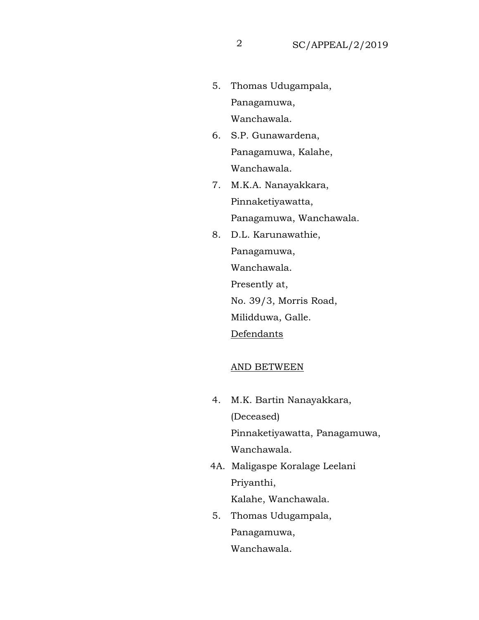- 5. Thomas Udugampala, Panagamuwa, Wanchawala.
- 6. S.P. Gunawardena, Panagamuwa, Kalahe, Wanchawala.
- 7. M.K.A. Nanayakkara, Pinnaketiyawatta, Panagamuwa, Wanchawala.
- 8. D.L. Karunawathie, Panagamuwa, Wanchawala. Presently at, No. 39/3, Morris Road, Milidduwa, Galle. Defendants

## AND BETWEEN

- 4. M.K. Bartin Nanayakkara, (Deceased) Pinnaketiyawatta, Panagamuwa, Wanchawala.
- 4A. Maligaspe Koralage Leelani Priyanthi, Kalahe, Wanchawala.
- 5. Thomas Udugampala, Panagamuwa, Wanchawala.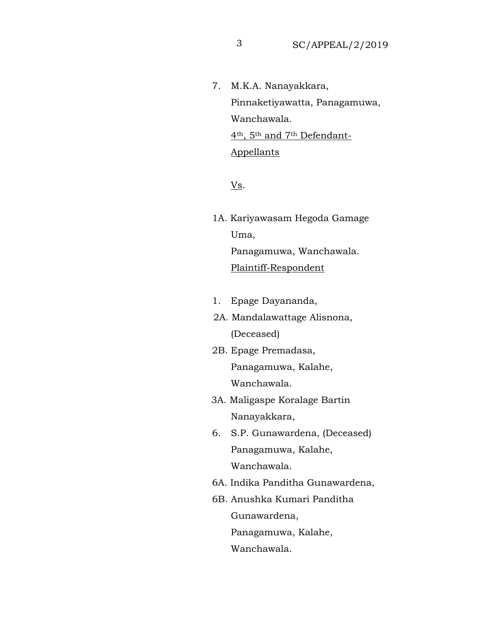7. M.K.A. Nanayakkara, Pinnaketiyawatta, Panagamuwa, Wanchawala. 4th, 5th and 7th Defendant-Appellants

Vs.

- 1A. Kariyawasam Hegoda Gamage Uma, Panagamuwa, Wanchawala. Plaintiff-Respondent
- 1. Epage Dayananda,
- 2A. Mandalawattage Alisnona, (Deceased)
- 2B. Epage Premadasa, Panagamuwa, Kalahe, Wanchawala.
- 3A. Maligaspe Koralage Bartin Nanayakkara,
- 6. S.P. Gunawardena, (Deceased) Panagamuwa, Kalahe, Wanchawala.
- 6A. Indika Panditha Gunawardena,
- 6B. Anushka Kumari Panditha Gunawardena, Panagamuwa, Kalahe,

Wanchawala.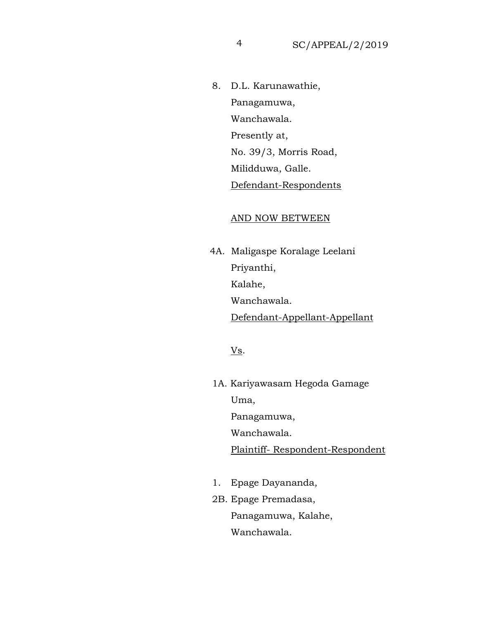8. D.L. Karunawathie, Panagamuwa, Wanchawala. Presently at, No. 39/3, Morris Road, Milidduwa, Galle. Defendant-Respondents

## AND NOW BETWEEN

 4A. Maligaspe Koralage Leelani Priyanthi, Kalahe, Wanchawala. Defendant-Appellant-Appellant

Vs.

- 1A. Kariyawasam Hegoda Gamage Uma, Panagamuwa, Wanchawala. Plaintiff- Respondent-Respondent
- 1. Epage Dayananda,
- 2B. Epage Premadasa, Panagamuwa, Kalahe, Wanchawala.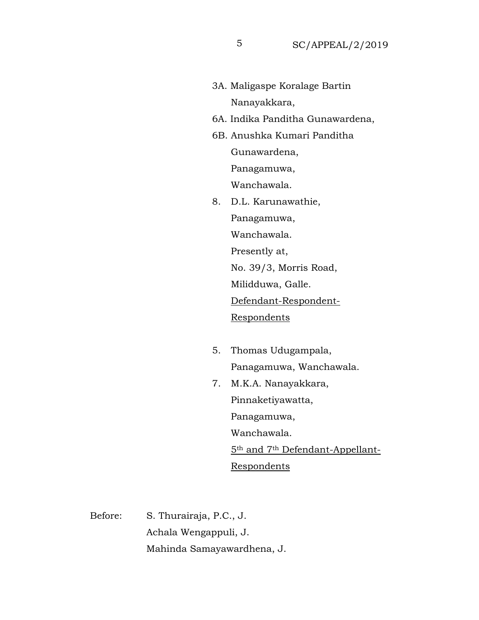- 3A. Maligaspe Koralage Bartin Nanayakkara,
- 6A. Indika Panditha Gunawardena,
- 6B. Anushka Kumari Panditha Gunawardena, Panagamuwa, Wanchawala.
- 8. D.L. Karunawathie, Panagamuwa, Wanchawala. Presently at, No. 39/3, Morris Road, Milidduwa, Galle. Defendant-Respondent-Respondents
- 5. Thomas Udugampala, Panagamuwa, Wanchawala.
- 7. M.K.A. Nanayakkara, Pinnaketiyawatta, Panagamuwa, Wanchawala. 5th and 7th Defendant-Appellant-Respondents

Before: S. Thurairaja, P.C., J. Achala Wengappuli, J. Mahinda Samayawardhena, J.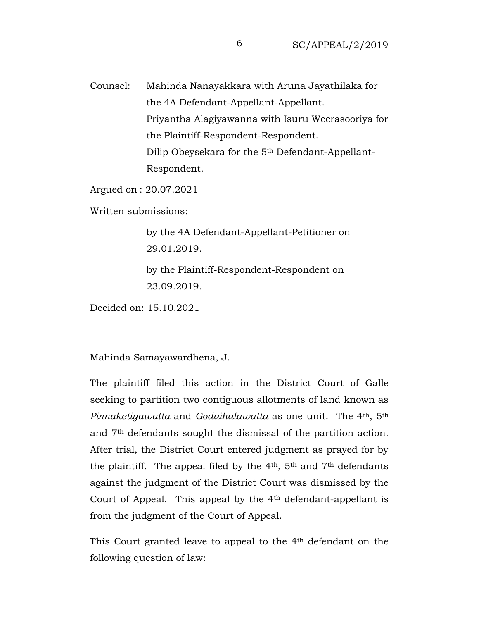Counsel: Mahinda Nanayakkara with Aruna Jayathilaka for the 4A Defendant-Appellant-Appellant. Priyantha Alagiyawanna with Isuru Weerasooriya for the Plaintiff-Respondent-Respondent. Dilip Obeysekara for the 5th Defendant-Appellant-Respondent.

Argued on : 20.07.2021

Written submissions:

by the 4A Defendant-Appellant-Petitioner on 29.01.2019.

by the Plaintiff-Respondent-Respondent on 23.09.2019.

Decided on: 15.10.2021

## Mahinda Samayawardhena, J.

The plaintiff filed this action in the District Court of Galle seeking to partition two contiguous allotments of land known as *Pinnaketiyawatta* and *Godaihalawatta* as one unit. The 4th, 5th and 7th defendants sought the dismissal of the partition action. After trial, the District Court entered judgment as prayed for by the plaintiff. The appeal filed by the  $4<sup>th</sup>$ ,  $5<sup>th</sup>$  and  $7<sup>th</sup>$  defendants against the judgment of the District Court was dismissed by the Court of Appeal. This appeal by the 4<sup>th</sup> defendant-appellant is from the judgment of the Court of Appeal.

This Court granted leave to appeal to the 4th defendant on the following question of law: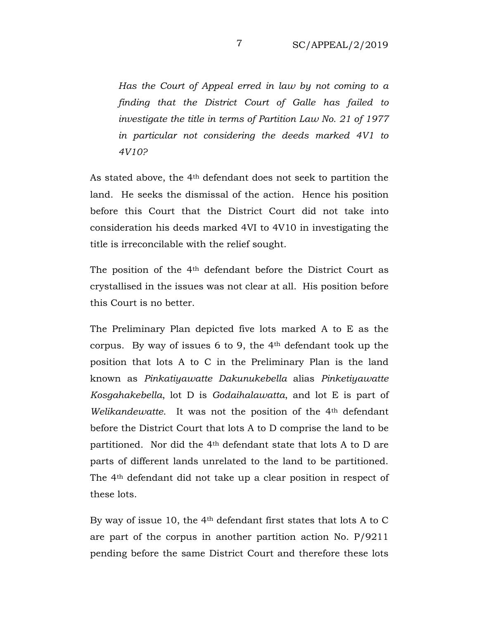*Has the Court of Appeal erred in law by not coming to a finding that the District Court of Galle has failed to investigate the title in terms of Partition Law No. 21 of 1977 in particular not considering the deeds marked 4V1 to 4V10?*

As stated above, the 4th defendant does not seek to partition the land. He seeks the dismissal of the action. Hence his position before this Court that the District Court did not take into consideration his deeds marked 4VI to 4V10 in investigating the title is irreconcilable with the relief sought.

The position of the 4<sup>th</sup> defendant before the District Court as crystallised in the issues was not clear at all. His position before this Court is no better.

The Preliminary Plan depicted five lots marked A to E as the corpus. By way of issues 6 to 9, the 4th defendant took up the position that lots A to C in the Preliminary Plan is the land known as *Pinkatiyawatte Dakunukebella* alias *Pinketiyawatte Kosgahakebella*, lot D is *Godaihalawatta*, and lot E is part of *Welikandewatte.* It was not the position of the 4<sup>th</sup> defendant before the District Court that lots A to D comprise the land to be partitioned. Nor did the 4th defendant state that lots A to D are parts of different lands unrelated to the land to be partitioned. The 4th defendant did not take up a clear position in respect of these lots.

By way of issue 10, the 4th defendant first states that lots A to C are part of the corpus in another partition action No. P/9211 pending before the same District Court and therefore these lots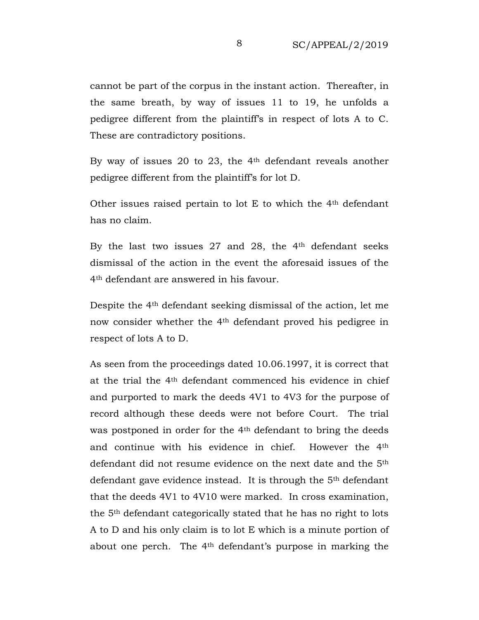cannot be part of the corpus in the instant action. Thereafter, in the same breath, by way of issues 11 to 19, he unfolds a pedigree different from the plaintiff's in respect of lots A to C. These are contradictory positions.

By way of issues 20 to 23, the 4th defendant reveals another pedigree different from the plaintiff's for lot D.

Other issues raised pertain to lot E to which the 4th defendant has no claim.

By the last two issues  $27$  and  $28$ , the  $4<sup>th</sup>$  defendant seeks dismissal of the action in the event the aforesaid issues of the 4th defendant are answered in his favour.

Despite the 4th defendant seeking dismissal of the action, let me now consider whether the 4th defendant proved his pedigree in respect of lots A to D.

As seen from the proceedings dated 10.06.1997, it is correct that at the trial the 4th defendant commenced his evidence in chief and purported to mark the deeds 4V1 to 4V3 for the purpose of record although these deeds were not before Court. The trial was postponed in order for the 4<sup>th</sup> defendant to bring the deeds and continue with his evidence in chief. However the 4th defendant did not resume evidence on the next date and the 5th defendant gave evidence instead. It is through the 5th defendant that the deeds 4V1 to 4V10 were marked. In cross examination, the 5th defendant categorically stated that he has no right to lots A to D and his only claim is to lot E which is a minute portion of about one perch. The 4th defendant's purpose in marking the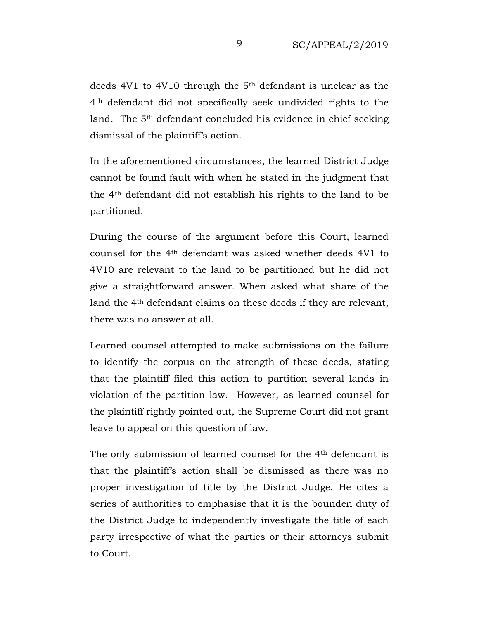deeds 4V1 to 4V10 through the 5<sup>th</sup> defendant is unclear as the 4th defendant did not specifically seek undivided rights to the land. The 5<sup>th</sup> defendant concluded his evidence in chief seeking dismissal of the plaintiff's action.

In the aforementioned circumstances, the learned District Judge cannot be found fault with when he stated in the judgment that the 4th defendant did not establish his rights to the land to be partitioned.

During the course of the argument before this Court, learned counsel for the 4th defendant was asked whether deeds 4V1 to 4V10 are relevant to the land to be partitioned but he did not give a straightforward answer. When asked what share of the land the 4th defendant claims on these deeds if they are relevant, there was no answer at all.

Learned counsel attempted to make submissions on the failure to identify the corpus on the strength of these deeds, stating that the plaintiff filed this action to partition several lands in violation of the partition law. However, as learned counsel for the plaintiff rightly pointed out, the Supreme Court did not grant leave to appeal on this question of law.

The only submission of learned counsel for the 4th defendant is that the plaintiff's action shall be dismissed as there was no proper investigation of title by the District Judge. He cites a series of authorities to emphasise that it is the bounden duty of the District Judge to independently investigate the title of each party irrespective of what the parties or their attorneys submit to Court.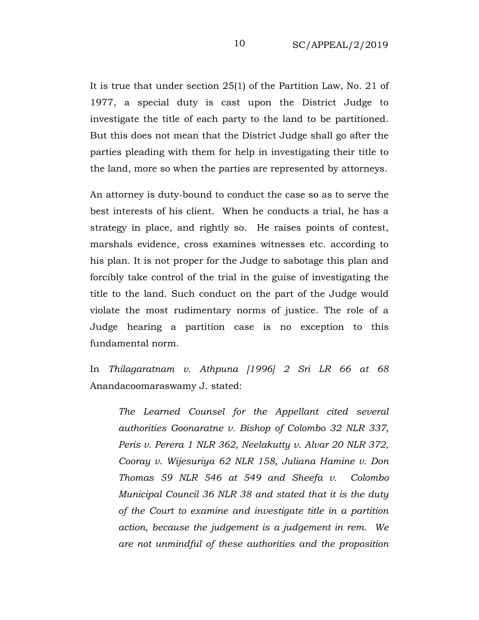It is true that under section 25(1) of the Partition Law, No. 21 of 1977, a special duty is cast upon the District Judge to investigate the title of each party to the land to be partitioned. But this does not mean that the District Judge shall go after the parties pleading with them for help in investigating their title to the land, more so when the parties are represented by attorneys.

An attorney is duty-bound to conduct the case so as to serve the best interests of his client. When he conducts a trial, he has a strategy in place, and rightly so. He raises points of contest, marshals evidence, cross examines witnesses etc. according to his plan. It is not proper for the Judge to sabotage this plan and forcibly take control of the trial in the guise of investigating the title to the land. Such conduct on the part of the Judge would violate the most rudimentary norms of justice. The role of a Judge hearing a partition case is no exception to this fundamental norm.

In *Thilagaratnam v. Athpuna [1996] 2 Sri LR 66 at 68* Anandacoomaraswamy J. stated:

*The Learned Counsel for the Appellant cited several authorities Goonaratne v. Bishop of Colombo 32 NLR 337, Peris v. Perera 1 NLR 362, Neelakutty v. Alvar 20 NLR 372, Cooray v. Wijesuriya 62 NLR 158, Juliana Hamine v. Don Thomas 59 NLR 546 at 549 and Sheefa v. Colombo Municipal Council 36 NLR 38 and stated that it is the duty of the Court to examine and investigate title in a partition action, because the judgement is a judgement in rem. We are not unmindful of these authorities and the proposition*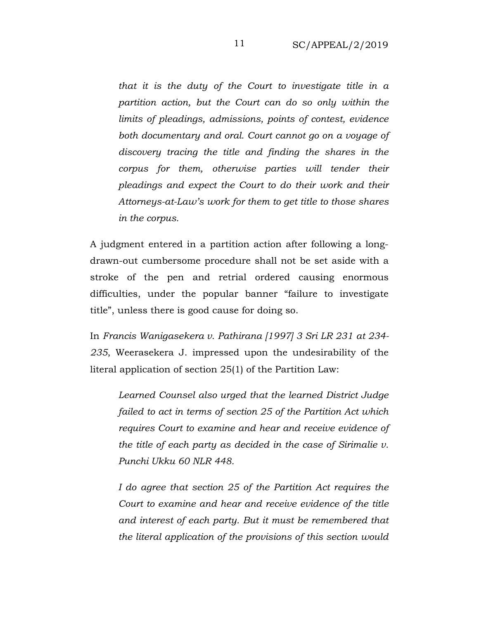*that it is the duty of the Court to investigate title in a partition action, but the Court can do so only within the limits of pleadings, admissions, points of contest, evidence both documentary and oral. Court cannot go on a voyage of discovery tracing the title and finding the shares in the corpus for them, otherwise parties will tender their pleadings and expect the Court to do their work and their Attorneys-at-Law's work for them to get title to those shares in the corpus.*

A judgment entered in a partition action after following a longdrawn-out cumbersome procedure shall not be set aside with a stroke of the pen and retrial ordered causing enormous difficulties, under the popular banner "failure to investigate title", unless there is good cause for doing so.

In *Francis Wanigasekera v. Pathirana [1997] 3 Sri LR 231 at 234- 235*, Weerasekera J. impressed upon the undesirability of the literal application of section 25(1) of the Partition Law:

*Learned Counsel also urged that the learned District Judge failed to act in terms of section 25 of the Partition Act which requires Court to examine and hear and receive evidence of the title of each party as decided in the case of Sirimalie v. Punchi Ukku 60 NLR 448.*

*I do agree that section 25 of the Partition Act requires the Court to examine and hear and receive evidence of the title and interest of each party. But it must be remembered that the literal application of the provisions of this section would*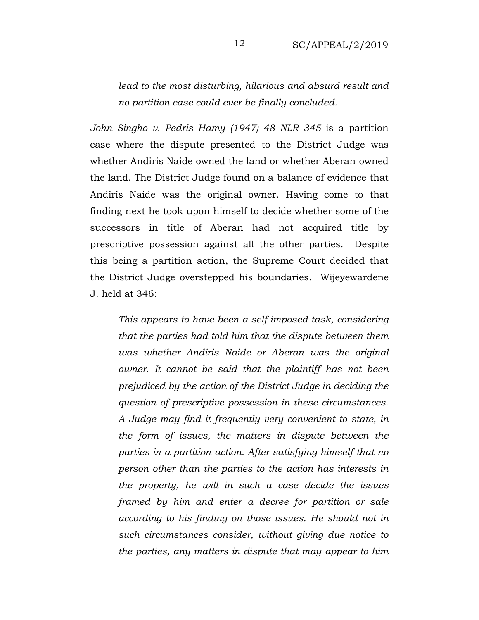*lead to the most disturbing, hilarious and absurd result and no partition case could ever be finally concluded.* 

*John Singho v. Pedris Hamy (1947) 48 NLR 345* is a partition case where the dispute presented to the District Judge was whether Andiris Naide owned the land or whether Aberan owned the land. The District Judge found on a balance of evidence that Andiris Naide was the original owner. Having come to that finding next he took upon himself to decide whether some of the successors in title of Aberan had not acquired title by prescriptive possession against all the other parties. Despite this being a partition action, the Supreme Court decided that the District Judge overstepped his boundaries. Wijeyewardene J. held at 346:

*This appears to have been a self-imposed task, considering that the parties had told him that the dispute between them was whether Andiris Naide or Aberan was the original owner. It cannot be said that the plaintiff has not been prejudiced by the action of the District Judge in deciding the question of prescriptive possession in these circumstances. A Judge may find it frequently very convenient to state, in the form of issues, the matters in dispute between the parties in a partition action. After satisfying himself that no person other than the parties to the action has interests in the property, he will in such a case decide the issues framed by him and enter a decree for partition or sale according to his finding on those issues. He should not in such circumstances consider, without giving due notice to the parties, any matters in dispute that may appear to him*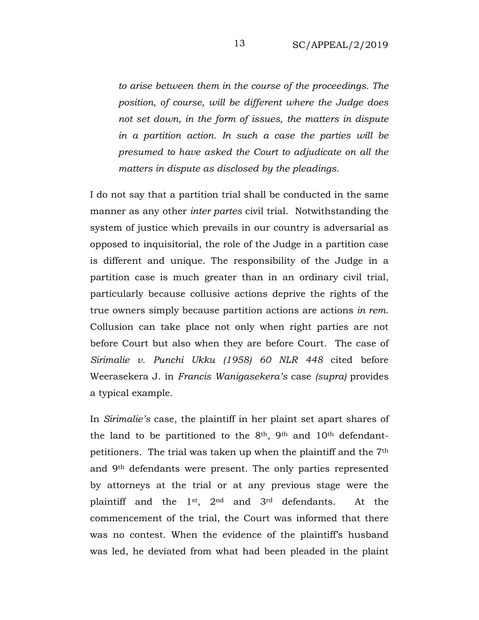*to arise between them in the course of the proceedings. The position, of course, will be different where the Judge does not set down, in the form of issues, the matters in dispute in a partition action. In such a case the parties will be presumed to have asked the Court to adjudicate on all the matters in dispute as disclosed by the pleadings.*

I do not say that a partition trial shall be conducted in the same manner as any other *inter partes* civil trial. Notwithstanding the system of justice which prevails in our country is adversarial as opposed to inquisitorial, the role of the Judge in a partition case is different and unique. The responsibility of the Judge in a partition case is much greater than in an ordinary civil trial, particularly because collusive actions deprive the rights of the true owners simply because partition actions are actions *in rem*. Collusion can take place not only when right parties are not before Court but also when they are before Court. The case of *Sirimalie v. Punchi Ukku (1958) 60 NLR 448* cited before Weerasekera J. in *Francis Wanigasekera's* case *(supra)* provides a typical example.

In *Sirimalie's* case, the plaintiff in her plaint set apart shares of the land to be partitioned to the 8<sup>th</sup>, 9<sup>th</sup> and 10<sup>th</sup> defendantpetitioners. The trial was taken up when the plaintiff and the 7th and 9th defendants were present. The only parties represented by attorneys at the trial or at any previous stage were the plaintiff and the 1st, 2nd and 3rd defendants. At the commencement of the trial, the Court was informed that there was no contest. When the evidence of the plaintiff's husband was led, he deviated from what had been pleaded in the plaint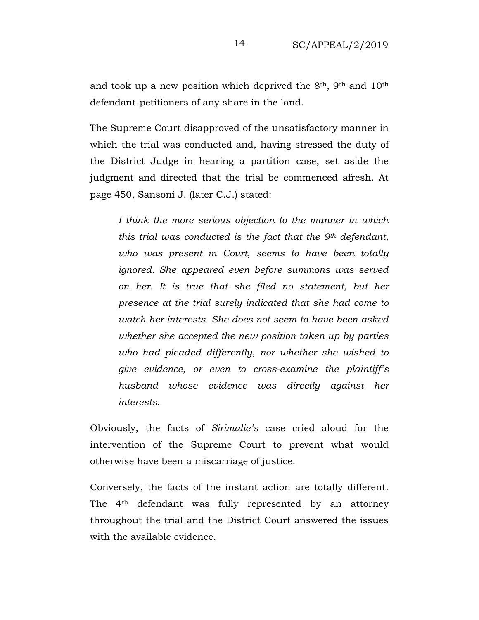and took up a new position which deprived the  $8<sup>th</sup>$ ,  $9<sup>th</sup>$  and  $10<sup>th</sup>$ defendant-petitioners of any share in the land.

The Supreme Court disapproved of the unsatisfactory manner in which the trial was conducted and, having stressed the duty of the District Judge in hearing a partition case, set aside the judgment and directed that the trial be commenced afresh. At page 450, Sansoni J. (later C.J.) stated:

*I think the more serious objection to the manner in which this trial was conducted is the fact that the 9th defendant, who was present in Court, seems to have been totally ignored. She appeared even before summons was served on her. It is true that she filed no statement, but her presence at the trial surely indicated that she had come to watch her interests. She does not seem to have been asked whether she accepted the new position taken up by parties who had pleaded differently, nor whether she wished to give evidence, or even to cross-examine the plaintiff's husband whose evidence was directly against her interests.*

Obviously, the facts of *Sirimalie's* case cried aloud for the intervention of the Supreme Court to prevent what would otherwise have been a miscarriage of justice.

Conversely, the facts of the instant action are totally different. The 4th defendant was fully represented by an attorney throughout the trial and the District Court answered the issues with the available evidence.